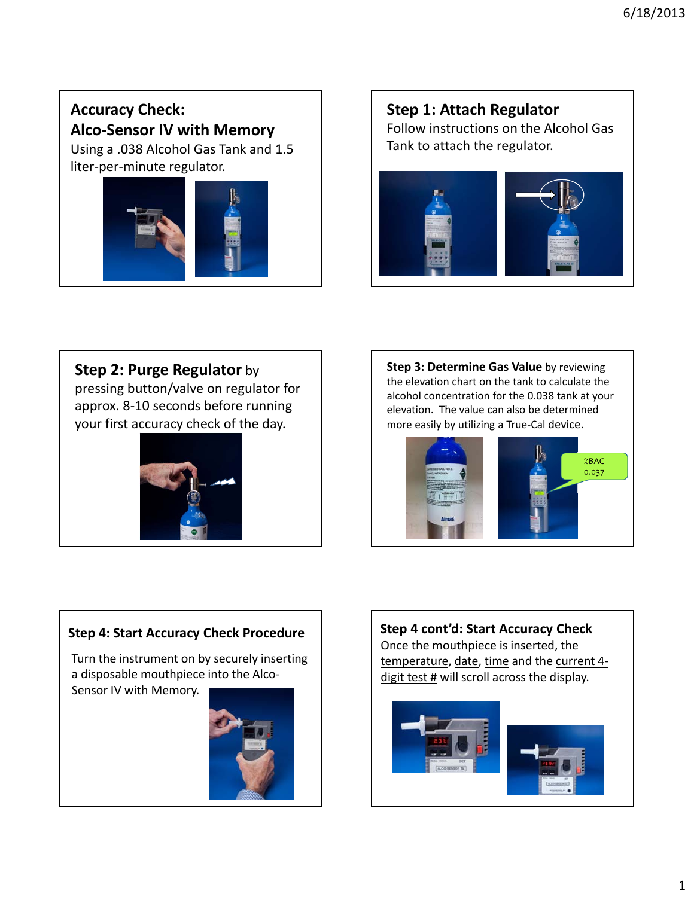# **Accuracy Check: Alco‐Sensor IV with Memory**

Using a .038 Alcohol Gas Tank and 1.5 liter‐per‐minute regulator.



# **Step 1: Attach Regulator** Follow instructions on the Alcohol Gas

Tank to attach the regulator.



# **Step 2: Purge Regulator** by

pressing button/valve on regulator for approx. 8‐10 seconds before running your first accuracy check of the day.



**Step 3: Determine Gas Value** by reviewing the elevation chart on the tank to calculate the alcohol concentration for the 0.038 tank at your elevation. The value can also be determined more easily by utilizing a True‐Cal device.



## **Step 4: Start Accuracy Check Procedure**

Turn the instrument on by securely inserting a disposable mouthpiece into the Alco‐ Sensor IV with Memory.



**Step 4 cont'd: Start Accuracy Check** Once the mouthpiece is inserted, the temperature, date, time and the current 4‐ digit test  $#$  will scroll across the display.

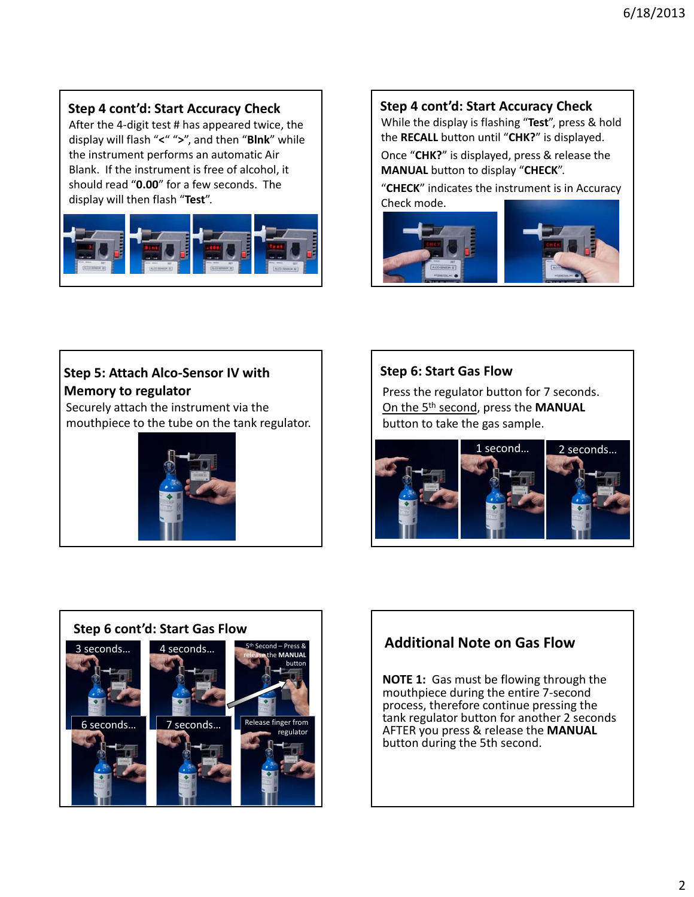### **Step 4 cont'd: Start Accuracy Check**

After the 4‐digit test # has appeared twice, the display will flash "**<**" "**>**", and then "**Blnk**" while the instrument performs an automatic Air Blank. If the instrument is free of alcohol, it should read "**0.00**" for a few seconds. The display will then flash "**Test**".



#### **Step 4 cont'd: Start Accuracy Check**

While the display is flashing "**Test**", press & hold the **RECALL** button until "**CHK?**" is displayed.

Once "**CHK?**" is displayed, press & release the **MANUAL** button to display "**CHECK**".

"**CHECK**" indicates the instrument is in Accuracy Check mode.



## **Step 5: Attach Alco‐Sensor IV with Memory to regulator**

Securely attach the instrument via the mouthpiece to the tube on the tank regulator.



#### **Step 6: Start Gas Flow**

Press the regulator button for 7 seconds. On the 5th second, press the **MANUAL** button to take the gas sample.





# **Additional Note on Gas Flow**

**NOTE 1:** Gas must be flowing through the mouthpiece during the entire 7‐second process, therefore continue pressing the tank regulator button for another 2 seconds AFTER you press & release the **MANUAL** button during the 5th second.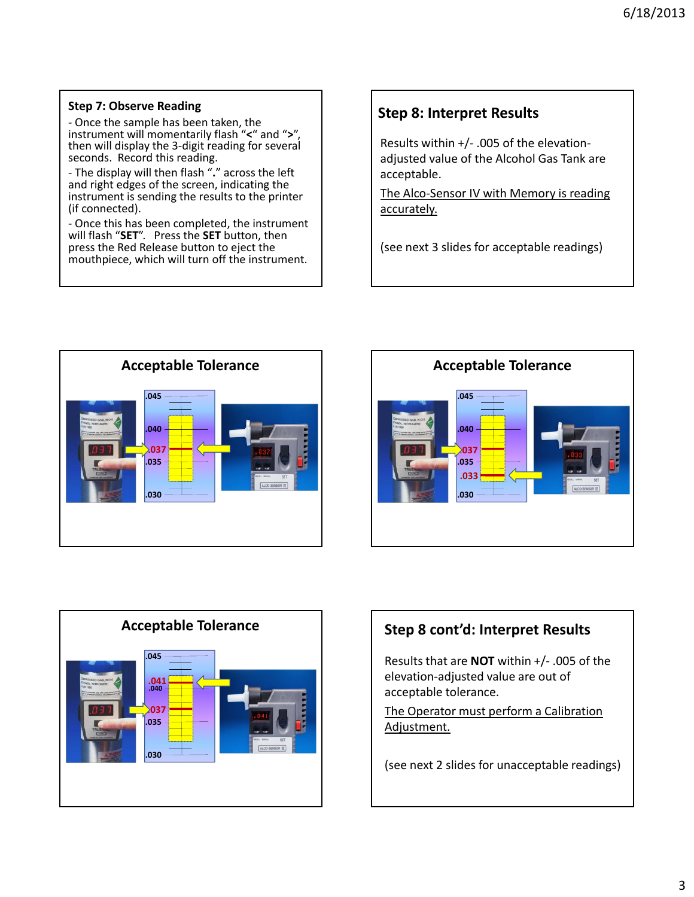#### **Step 7: Observe Reading**

‐ Once the sample has been taken, the instrument will momentarily flash "**<**" and "**>**", then will display the 3‐digit reading for several seconds. Record this reading.

‐ The display will then flash "**.**" across the left and right edges of the screen, indicating the instrument is sending the results to the printer (if connected).

‐ Once this has been completed, the instrument will flash "**SET**". Press the **SET** button, then press the Red Release button to eject the mouthpiece, which will turn off the instrument.

## **Step 8: Interpret Results**

Results within +/‐ .005 of the elevation‐ adjusted value of the Alcohol Gas Tank are acceptable.

The Alco-Sensor IV with Memory is reading accurately.

(see next 3 slides for acceptable readings)







## **Step 8 cont'd: Interpret Results**

Results that are **NOT** within +/‐ .005 of the elevation‐adjusted value are out of acceptable tolerance.

The Operator must perform a Calibration Adjustment.

(see next 2 slides for unacceptable readings)